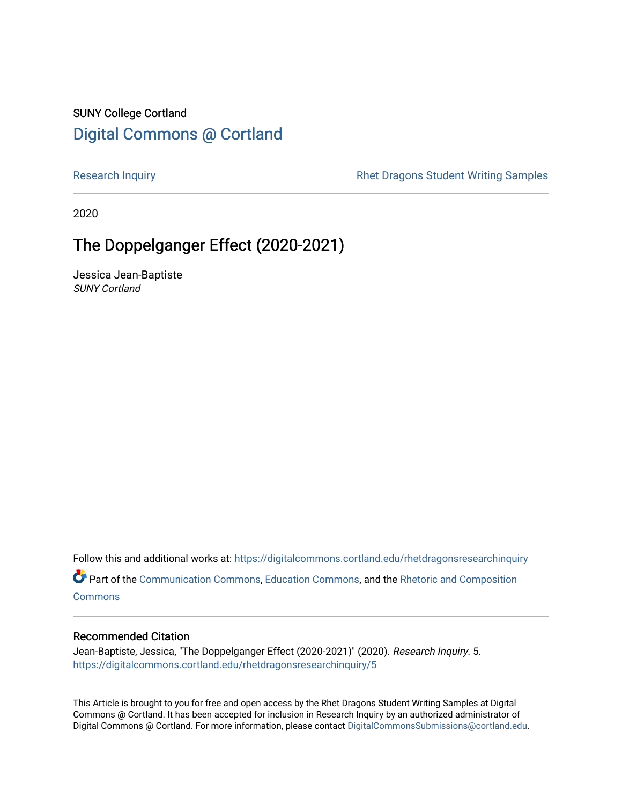### SUNY College Cortland [Digital Commons @ Cortland](https://digitalcommons.cortland.edu/)

[Research Inquiry](https://digitalcommons.cortland.edu/rhetdragonsresearchinquiry) **Research Inquiry** Research Inquiry **Rhet Dragons Student Writing Samples** 

2020

## The Doppelganger Effect (2020-2021)

Jessica Jean-Baptiste SUNY Cortland

Follow this and additional works at: [https://digitalcommons.cortland.edu/rhetdragonsresearchinquiry](https://digitalcommons.cortland.edu/rhetdragonsresearchinquiry?utm_source=digitalcommons.cortland.edu%2Frhetdragonsresearchinquiry%2F5&utm_medium=PDF&utm_campaign=PDFCoverPages) Part of the [Communication Commons,](http://network.bepress.com/hgg/discipline/325?utm_source=digitalcommons.cortland.edu%2Frhetdragonsresearchinquiry%2F5&utm_medium=PDF&utm_campaign=PDFCoverPages) [Education Commons,](http://network.bepress.com/hgg/discipline/784?utm_source=digitalcommons.cortland.edu%2Frhetdragonsresearchinquiry%2F5&utm_medium=PDF&utm_campaign=PDFCoverPages) and the [Rhetoric and Composition](http://network.bepress.com/hgg/discipline/573?utm_source=digitalcommons.cortland.edu%2Frhetdragonsresearchinquiry%2F5&utm_medium=PDF&utm_campaign=PDFCoverPages)

**[Commons](http://network.bepress.com/hgg/discipline/573?utm_source=digitalcommons.cortland.edu%2Frhetdragonsresearchinquiry%2F5&utm_medium=PDF&utm_campaign=PDFCoverPages)** 

#### Recommended Citation

Jean-Baptiste, Jessica, "The Doppelganger Effect (2020-2021)" (2020). Research Inquiry. 5. [https://digitalcommons.cortland.edu/rhetdragonsresearchinquiry/5](https://digitalcommons.cortland.edu/rhetdragonsresearchinquiry/5?utm_source=digitalcommons.cortland.edu%2Frhetdragonsresearchinquiry%2F5&utm_medium=PDF&utm_campaign=PDFCoverPages) 

This Article is brought to you for free and open access by the Rhet Dragons Student Writing Samples at Digital Commons @ Cortland. It has been accepted for inclusion in Research Inquiry by an authorized administrator of Digital Commons @ Cortland. For more information, please contact [DigitalCommonsSubmissions@cortland.edu](mailto:DigitalCommonsSubmissions@cortland.edu).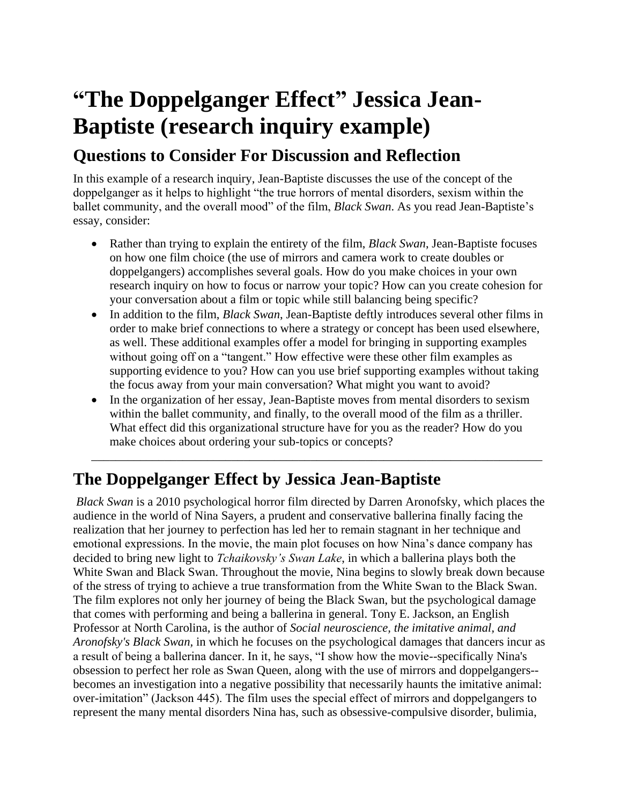# **"The Doppelganger Effect" Jessica Jean-Baptiste (research inquiry example)**

## **Questions to Consider For Discussion and Reflection**

In this example of a research inquiry, Jean-Baptiste discusses the use of the concept of the doppelganger as it helps to highlight "the true horrors of mental disorders, sexism within the ballet community, and the overall mood" of the film, *Black Swan*. As you read Jean-Baptiste's essay, consider:

- Rather than trying to explain the entirety of the film, *Black Swan*, Jean-Baptiste focuses on how one film choice (the use of mirrors and camera work to create doubles or doppelgangers) accomplishes several goals. How do you make choices in your own research inquiry on how to focus or narrow your topic? How can you create cohesion for your conversation about a film or topic while still balancing being specific?
- In addition to the film, *Black Swan*, Jean-Baptiste deftly introduces several other films in order to make brief connections to where a strategy or concept has been used elsewhere, as well. These additional examples offer a model for bringing in supporting examples without going off on a "tangent." How effective were these other film examples as supporting evidence to you? How can you use brief supporting examples without taking the focus away from your main conversation? What might you want to avoid?
- In the organization of her essay, Jean-Baptiste moves from mental disorders to sexism within the ballet community, and finally, to the overall mood of the film as a thriller. What effect did this organizational structure have for you as the reader? How do you make choices about ordering your sub-topics or concepts?

\_\_\_\_\_\_\_\_\_\_\_\_\_\_\_\_\_\_\_\_\_\_\_\_\_\_\_\_\_\_\_\_\_\_\_\_\_\_\_\_\_\_\_\_\_\_\_\_\_\_\_\_\_\_\_\_\_\_\_\_\_\_\_\_\_\_\_\_\_\_\_\_\_\_

# **The Doppelganger Effect by Jessica Jean-Baptiste**

*Black Swan* is a 2010 psychological horror film directed by Darren Aronofsky, which places the audience in the world of Nina Sayers, a prudent and conservative ballerina finally facing the realization that her journey to perfection has led her to remain stagnant in her technique and emotional expressions. In the movie, the main plot focuses on how Nina's dance company has decided to bring new light to *Tchaikovsky's Swan Lake*, in which a ballerina plays both the White Swan and Black Swan. Throughout the movie, Nina begins to slowly break down because of the stress of trying to achieve a true transformation from the White Swan to the Black Swan. The film explores not only her journey of being the Black Swan, but the psychological damage that comes with performing and being a ballerina in general. Tony E. Jackson, an English Professor at North Carolina, is the author of *Social neuroscience, the imitative animal, and Aronofsky's Black Swan,* in which he focuses on the psychological damages that dancers incur as a result of being a ballerina dancer. In it, he says, "I show how the movie--specifically Nina's obsession to perfect her role as Swan Queen, along with the use of mirrors and doppelgangers- becomes an investigation into a negative possibility that necessarily haunts the imitative animal: over-imitation" (Jackson 445). The film uses the special effect of mirrors and doppelgangers to represent the many mental disorders Nina has, such as obsessive-compulsive disorder, bulimia,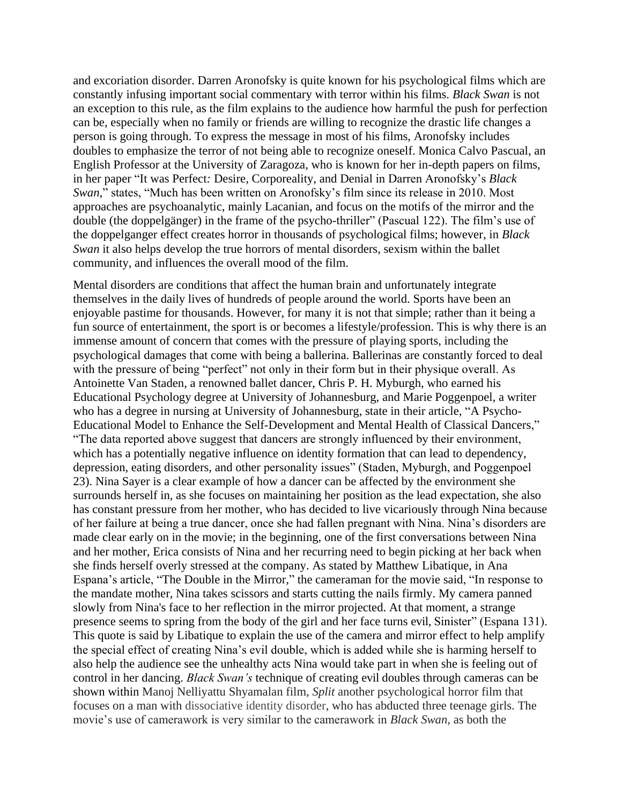and excoriation disorder. Darren Aronofsky is quite known for his psychological films which are constantly infusing important social commentary with terror within his films. *Black Swan* is not an exception to this rule, as the film explains to the audience how harmful the push for perfection can be, especially when no family or friends are willing to recognize the drastic life changes a person is going through. To express the message in most of his films, Aronofsky includes doubles to emphasize the terror of not being able to recognize oneself. Monica Calvo Pascual, an English Professor at the University of Zaragoza, who is known for her in-depth papers on films, in her paper "It was Perfect*:* Desire, Corporeality, and Denial in Darren Aronofsky's *Black Swan*," states, "Much has been written on Aronofsky's film since its release in 2010. Most approaches are psychoanalytic, mainly Lacanian, and focus on the motifs of the mirror and the double (the doppelgänger) in the frame of the psycho-thriller" (Pascual 122). The film's use of the doppelganger effect creates horror in thousands of psychological films; however, in *Black Swan* it also helps develop the true horrors of mental disorders, sexism within the ballet community, and influences the overall mood of the film.

Mental disorders are conditions that affect the human brain and unfortunately integrate themselves in the daily lives of hundreds of people around the world. Sports have been an enjoyable pastime for thousands. However, for many it is not that simple; rather than it being a fun source of entertainment, the sport is or becomes a lifestyle/profession. This is why there is an immense amount of concern that comes with the pressure of playing sports, including the psychological damages that come with being a ballerina. Ballerinas are constantly forced to deal with the pressure of being "perfect" not only in their form but in their physique overall. As Antoinette Van Staden, a renowned ballet dancer, Chris P. H. Myburgh, who earned his Educational Psychology degree at University of Johannesburg, and Marie Poggenpoel, a writer who has a degree in nursing at University of Johannesburg, state in their article, "A Psycho-Educational Model to Enhance the Self-Development and Mental Health of Classical Dancers," "The data reported above suggest that dancers are strongly influenced by their environment, which has a potentially negative influence on identity formation that can lead to dependency, depression, eating disorders, and other personality issues" (Staden, Myburgh, and Poggenpoel 23). Nina Sayer is a clear example of how a dancer can be affected by the environment she surrounds herself in, as she focuses on maintaining her position as the lead expectation, she also has constant pressure from her mother, who has decided to live vicariously through Nina because of her failure at being a true dancer, once she had fallen pregnant with Nina. Nina's disorders are made clear early on in the movie; in the beginning, one of the first conversations between Nina and her mother, Erica consists of Nina and her recurring need to begin picking at her back when she finds herself overly stressed at the company. As stated by Matthew Libatique, in Ana Espana's article, "The Double in the Mirror," the cameraman for the movie said, "In response to the mandate mother, Nina takes scissors and starts cutting the nails firmly. My camera panned slowly from Nina's face to her reflection in the mirror projected. At that moment, a strange presence seems to spring from the body of the girl and her face turns evil, Sinister" (Espana 131). This quote is said by Libatique to explain the use of the camera and mirror effect to help amplify the special effect of creating Nina's evil double, which is added while she is harming herself to also help the audience see the unhealthy acts Nina would take part in when she is feeling out of control in her dancing. *Black Swan's* technique of creating evil doubles through cameras can be shown within Manoj Nelliyattu Shyamalan film, *Split* another psychological horror film that focuses on a man with dissociative identity disorder, who has abducted three teenage girls. The movie's use of camerawork is very similar to the camerawork in *Black Swan,* as both the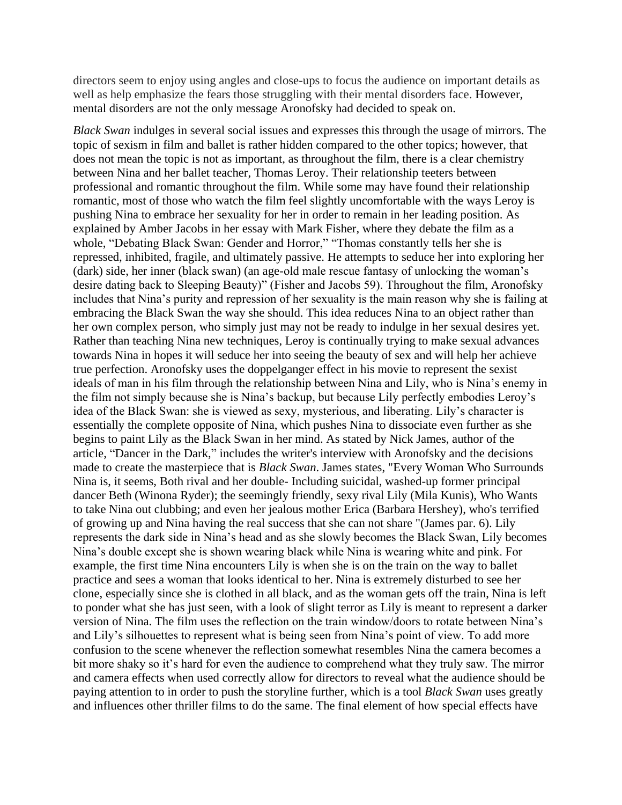directors seem to enjoy using angles and close-ups to focus the audience on important details as well as help emphasize the fears those struggling with their mental disorders face. However, mental disorders are not the only message Aronofsky had decided to speak on.

*Black Swan* indulges in several social issues and expresses this through the usage of mirrors. The topic of sexism in film and ballet is rather hidden compared to the other topics; however, that does not mean the topic is not as important, as throughout the film, there is a clear chemistry between Nina and her ballet teacher, Thomas Leroy. Their relationship teeters between professional and romantic throughout the film. While some may have found their relationship romantic, most of those who watch the film feel slightly uncomfortable with the ways Leroy is pushing Nina to embrace her sexuality for her in order to remain in her leading position. As explained by Amber Jacobs in her essay with Mark Fisher, where they debate the film as a whole, "Debating Black Swan: Gender and Horror," "Thomas constantly tells her she is repressed, inhibited, fragile, and ultimately passive. He attempts to seduce her into exploring her (dark) side, her inner (black swan) (an age-old male rescue fantasy of unlocking the woman's desire dating back to Sleeping Beauty)" (Fisher and Jacobs 59). Throughout the film, Aronofsky includes that Nina's purity and repression of her sexuality is the main reason why she is failing at embracing the Black Swan the way she should. This idea reduces Nina to an object rather than her own complex person, who simply just may not be ready to indulge in her sexual desires yet. Rather than teaching Nina new techniques, Leroy is continually trying to make sexual advances towards Nina in hopes it will seduce her into seeing the beauty of sex and will help her achieve true perfection. Aronofsky uses the doppelganger effect in his movie to represent the sexist ideals of man in his film through the relationship between Nina and Lily, who is Nina's enemy in the film not simply because she is Nina's backup, but because Lily perfectly embodies Leroy's idea of the Black Swan: she is viewed as sexy, mysterious, and liberating. Lily's character is essentially the complete opposite of Nina, which pushes Nina to dissociate even further as she begins to paint Lily as the Black Swan in her mind. As stated by Nick James, author of the article, "Dancer in the Dark," includes the writer's interview with Aronofsky and the decisions made to create the masterpiece that is *Black Swan*. James states, "Every Woman Who Surrounds Nina is, it seems, Both rival and her double- Including suicidal, washed-up former principal dancer Beth (Winona Ryder); the seemingly friendly, sexy rival Lily (Mila Kunis), Who Wants to take Nina out clubbing; and even her jealous mother Erica (Barbara Hershey), who's terrified of growing up and Nina having the real success that she can not share "(James par. 6). Lily represents the dark side in Nina's head and as she slowly becomes the Black Swan, Lily becomes Nina's double except she is shown wearing black while Nina is wearing white and pink. For example, the first time Nina encounters Lily is when she is on the train on the way to ballet practice and sees a woman that looks identical to her. Nina is extremely disturbed to see her clone, especially since she is clothed in all black, and as the woman gets off the train, Nina is left to ponder what she has just seen, with a look of slight terror as Lily is meant to represent a darker version of Nina. The film uses the reflection on the train window/doors to rotate between Nina's and Lily's silhouettes to represent what is being seen from Nina's point of view. To add more confusion to the scene whenever the reflection somewhat resembles Nina the camera becomes a bit more shaky so it's hard for even the audience to comprehend what they truly saw. The mirror and camera effects when used correctly allow for directors to reveal what the audience should be paying attention to in order to push the storyline further, which is a tool *Black Swan* uses greatly and influences other thriller films to do the same. The final element of how special effects have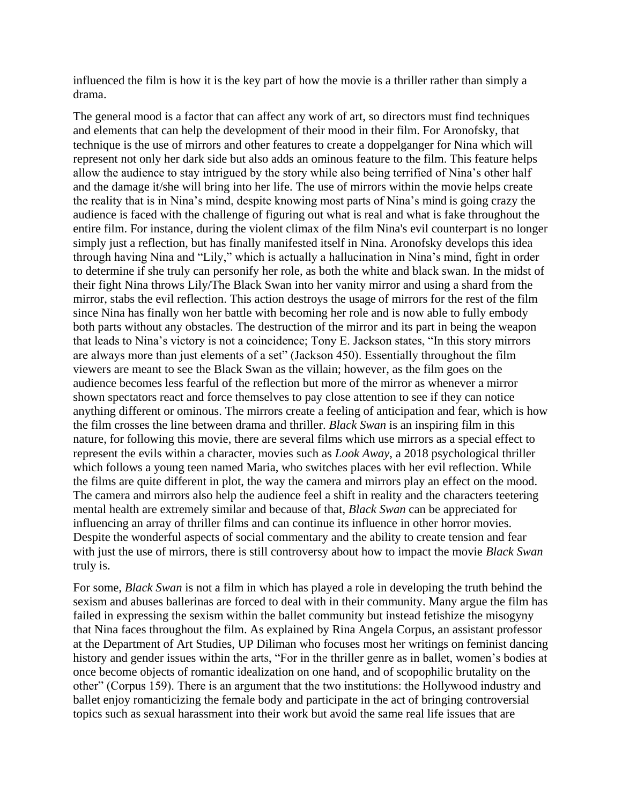influenced the film is how it is the key part of how the movie is a thriller rather than simply a drama.

The general mood is a factor that can affect any work of art, so directors must find techniques and elements that can help the development of their mood in their film. For Aronofsky, that technique is the use of mirrors and other features to create a doppelganger for Nina which will represent not only her dark side but also adds an ominous feature to the film. This feature helps allow the audience to stay intrigued by the story while also being terrified of Nina's other half and the damage it/she will bring into her life. The use of mirrors within the movie helps create the reality that is in Nina's mind, despite knowing most parts of Nina's mind is going crazy the audience is faced with the challenge of figuring out what is real and what is fake throughout the entire film. For instance, during the violent climax of the film Nina's evil counterpart is no longer simply just a reflection, but has finally manifested itself in Nina. Aronofsky develops this idea through having Nina and "Lily," which is actually a hallucination in Nina's mind, fight in order to determine if she truly can personify her role, as both the white and black swan. In the midst of their fight Nina throws Lily/The Black Swan into her vanity mirror and using a shard from the mirror, stabs the evil reflection. This action destroys the usage of mirrors for the rest of the film since Nina has finally won her battle with becoming her role and is now able to fully embody both parts without any obstacles. The destruction of the mirror and its part in being the weapon that leads to Nina's victory is not a coincidence; Tony E. Jackson states, "In this story mirrors are always more than just elements of a set" (Jackson 450). Essentially throughout the film viewers are meant to see the Black Swan as the villain; however, as the film goes on the audience becomes less fearful of the reflection but more of the mirror as whenever a mirror shown spectators react and force themselves to pay close attention to see if they can notice anything different or ominous. The mirrors create a feeling of anticipation and fear, which is how the film crosses the line between drama and thriller. *Black Swan* is an inspiring film in this nature, for following this movie, there are several films which use mirrors as a special effect to represent the evils within a character, movies such as *Look Away*, a 2018 psychological thriller which follows a young teen named Maria, who switches places with her evil reflection. While the films are quite different in plot, the way the camera and mirrors play an effect on the mood. The camera and mirrors also help the audience feel a shift in reality and the characters teetering mental health are extremely similar and because of that, *Black Swan* can be appreciated for influencing an array of thriller films and can continue its influence in other horror movies. Despite the wonderful aspects of social commentary and the ability to create tension and fear with just the use of mirrors, there is still controversy about how to impact the movie *Black Swan*  truly is.

For some, *Black Swan* is not a film in which has played a role in developing the truth behind the sexism and abuses ballerinas are forced to deal with in their community. Many argue the film has failed in expressing the sexism within the ballet community but instead fetishize the misogyny that Nina faces throughout the film. As explained by Rina Angela Corpus, an assistant professor at the Department of Art Studies, UP Diliman who focuses most her writings on feminist dancing history and gender issues within the arts, "For in the thriller genre as in ballet, women's bodies at once become objects of romantic idealization on one hand, and of scopophilic brutality on the other" (Corpus 159). There is an argument that the two institutions: the Hollywood industry and ballet enjoy romanticizing the female body and participate in the act of bringing controversial topics such as sexual harassment into their work but avoid the same real life issues that are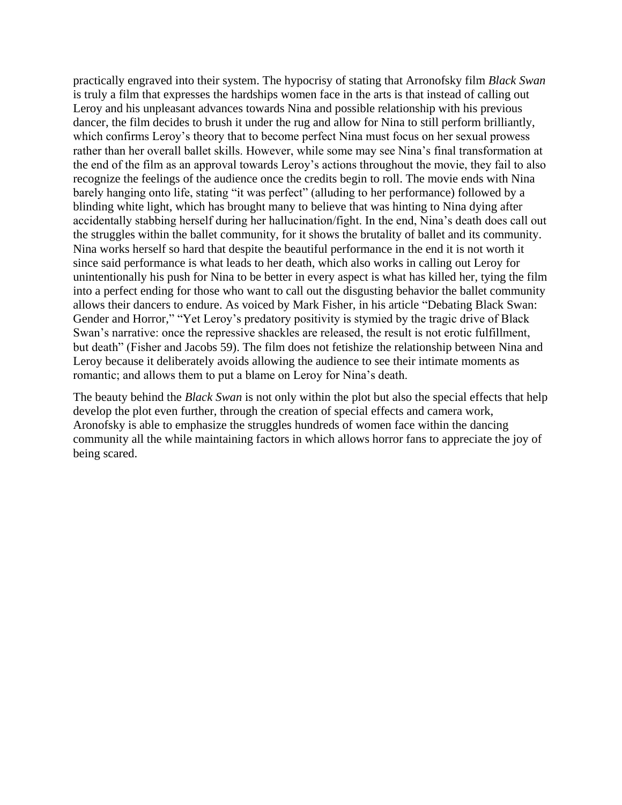practically engraved into their system. The hypocrisy of stating that Arronofsky film *Black Swan* is truly a film that expresses the hardships women face in the arts is that instead of calling out Leroy and his unpleasant advances towards Nina and possible relationship with his previous dancer, the film decides to brush it under the rug and allow for Nina to still perform brilliantly, which confirms Leroy's theory that to become perfect Nina must focus on her sexual prowess rather than her overall ballet skills. However, while some may see Nina's final transformation at the end of the film as an approval towards Leroy's actions throughout the movie, they fail to also recognize the feelings of the audience once the credits begin to roll. The movie ends with Nina barely hanging onto life, stating "it was perfect" (alluding to her performance) followed by a blinding white light, which has brought many to believe that was hinting to Nina dying after accidentally stabbing herself during her hallucination/fight. In the end, Nina's death does call out the struggles within the ballet community, for it shows the brutality of ballet and its community. Nina works herself so hard that despite the beautiful performance in the end it is not worth it since said performance is what leads to her death, which also works in calling out Leroy for unintentionally his push for Nina to be better in every aspect is what has killed her, tying the film into a perfect ending for those who want to call out the disgusting behavior the ballet community allows their dancers to endure. As voiced by Mark Fisher, in his article "Debating Black Swan: Gender and Horror," "Yet Leroy's predatory positivity is stymied by the tragic drive of Black Swan's narrative: once the repressive shackles are released, the result is not erotic fulfillment, but death" (Fisher and Jacobs 59). The film does not fetishize the relationship between Nina and Leroy because it deliberately avoids allowing the audience to see their intimate moments as romantic; and allows them to put a blame on Leroy for Nina's death.

The beauty behind the *Black Swan* is not only within the plot but also the special effects that help develop the plot even further, through the creation of special effects and camera work, Aronofsky is able to emphasize the struggles hundreds of women face within the dancing community all the while maintaining factors in which allows horror fans to appreciate the joy of being scared.